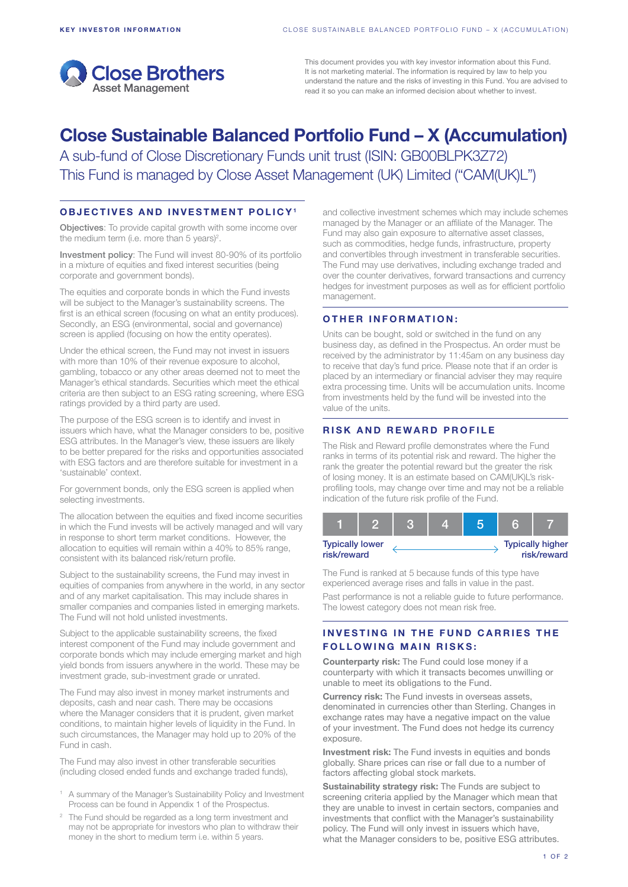

This document provides you with key investor information about this Fund. It is not marketing material. The information is required by law to help you understand the nature and the risks of investing in this Fund. You are advised to read it so you can make an informed decision about whether to invest.

# Close Sustainable Balanced Portfolio Fund – X (Accumulation)

A sub-fund of Close Discretionary Funds unit trust (ISIN: GB00BLPK3Z72) This Fund is managed by Close Asset Management (UK) Limited ("CAM(UK)L")

#### OBJECTIVES AND INVESTMENT POLICY1

Objectives: To provide capital growth with some income over the medium term (i.e. more than 5 years)<sup>2</sup>.

Investment policy: The Fund will invest 80-90% of its portfolio in a mixture of equities and fixed interest securities (being corporate and government bonds).

The equities and corporate bonds in which the Fund invests will be subject to the Manager's sustainability screens. The first is an ethical screen (focusing on what an entity produces). Secondly, an ESG (environmental, social and governance) screen is applied (focusing on how the entity operates).

Under the ethical screen, the Fund may not invest in issuers with more than 10% of their revenue exposure to alcohol, gambling, tobacco or any other areas deemed not to meet the Manager's ethical standards. Securities which meet the ethical criteria are then subject to an ESG rating screening, where ESG ratings provided by a third party are used.

The purpose of the ESG screen is to identify and invest in issuers which have, what the Manager considers to be, positive ESG attributes. In the Manager's view, these issuers are likely to be better prepared for the risks and opportunities associated with ESG factors and are therefore suitable for investment in a 'sustainable' context.

For government bonds, only the ESG screen is applied when selecting investments.

The allocation between the equities and fixed income securities in which the Fund invests will be actively managed and will vary in response to short term market conditions. However, the allocation to equities will remain within a 40% to 85% range, consistent with its balanced risk/return profile.

Subject to the sustainability screens, the Fund may invest in equities of companies from anywhere in the world, in any sector and of any market capitalisation. This may include shares in smaller companies and companies listed in emerging markets. The Fund will not hold unlisted investments.

Subject to the applicable sustainability screens, the fixed interest component of the Fund may include government and corporate bonds which may include emerging market and high yield bonds from issuers anywhere in the world. These may be investment grade, sub-investment grade or unrated.

The Fund may also invest in money market instruments and deposits, cash and near cash. There may be occasions where the Manager considers that it is prudent, given market conditions, to maintain higher levels of liquidity in the Fund. In such circumstances, the Manager may hold up to 20% of the Fund in cash.

The Fund may also invest in other transferable securities (including closed ended funds and exchange traded funds),

- <sup>1</sup> A summary of the Manager's Sustainability Policy and Investment Process can be found in Appendix 1 of the Prospectus.
- <sup>2</sup> The Fund should be regarded as a long term investment and may not be appropriate for investors who plan to withdraw their money in the short to medium term i.e. within 5 years.

and collective investment schemes which may include schemes managed by the Manager or an affiliate of the Manager. The Fund may also gain exposure to alternative asset classes, such as commodities, hedge funds, infrastructure, property and convertibles through investment in transferable securities. The Fund may use derivatives, including exchange traded and over the counter derivatives, forward transactions and currency hedges for investment purposes as well as for efficient portfolio management.

#### OTHER INFORMATION:

Units can be bought, sold or switched in the fund on any business day, as defined in the Prospectus. An order must be received by the administrator by 11:45am on any business day to receive that day's fund price. Please note that if an order is placed by an intermediary or financial adviser they may require extra processing time. Units will be accumulation units. Income from investments held by the fund will be invested into the value of the units.

## RISK AND REWARD PROFILE

The Risk and Reward profile demonstrates where the Fund ranks in terms of its potential risk and reward. The higher the rank the greater the potential reward but the greater the risk of losing money. It is an estimate based on CAM(UK)L's riskprofiling tools, may change over time and may not be a reliable indication of the future risk profile of the Fund.

| <b>Typically lower</b><br>risk/reward |  |  |  |  | <b>Typically higher</b><br>risk/reward |
|---------------------------------------|--|--|--|--|----------------------------------------|

The Fund is ranked at 5 because funds of this type have experienced average rises and falls in value in the past.

Past performance is not a reliable guide to future performance. The lowest category does not mean risk free.

# INVESTING IN THE FUND CARRIES THE **FOLLOWING MAIN RISKS:**

Counterparty risk: The Fund could lose money if a counterparty with which it transacts becomes unwilling or unable to meet its obligations to the Fund.

Currency risk: The Fund invests in overseas assets, denominated in currencies other than Sterling. Changes in exchange rates may have a negative impact on the value of your investment. The Fund does not hedge its currency exposure.

Investment risk: The Fund invests in equities and bonds globally. Share prices can rise or fall due to a number of factors affecting global stock markets.

Sustainability strategy risk: The Funds are subject to screening criteria applied by the Manager which mean that they are unable to invest in certain sectors, companies and investments that conflict with the Manager's sustainability policy. The Fund will only invest in issuers which have, what the Manager considers to be, positive ESG attributes.